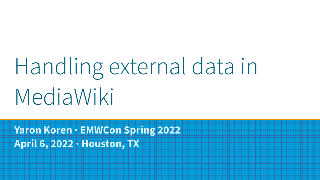# Handling external data in MediaWiki

**Yaron Koren · EMWCon Spring 2022 April 6, 2022 · Houston, TX**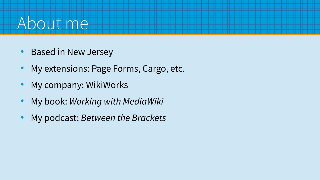### About me

- Based in New Jersey
- My extensions: Page Forms, Cargo, etc.
- My company: WikiWorks
- My book: Working with MediaWiki
- My podcast: Between the Brackets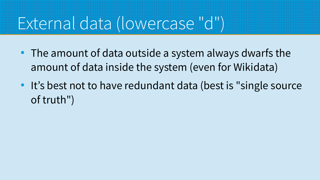# External data (lowercase "d")

- The amount of data outside a system always dwarfs the amount of data inside the system (even for Wikidata)
- It's best not to have redundant data (best is "single source of truth")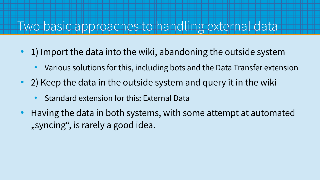#### Two basic approaches to handling external data

- 1) Import the data into the wiki, abandoning the outside system
	- Various solutions for this, including bots and the Data Transfer extension
- $\bullet$  2) Keep the data in the outside system and query it in the wiki
	- Standard extension for this: External Data
- Having the data in both systems, with some attempt at automated "syncing", is rarely a good idea.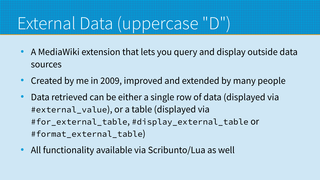# External Data (uppercase "D")

- A MediaWiki extension that lets you query and display outside data sources
- Created by me in 2009, improved and extended by many people
- Data retrieved can be either a single row of data (displayed via #external\_value), or a table (displayed via #for\_external\_table, #display\_external\_table or #format\_external\_table)
- All functionality available via Scribunto/Lua as well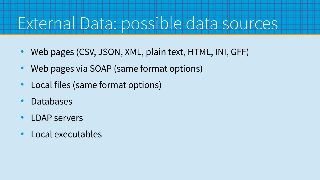#### External Data: possible data sources

- Web pages (CSV, JSON, XML, plain text, HTML, INI, GFF)
- Web pages via SOAP (same format options)
- Local files (same format options)
- **Databases**
- **LDAP** servers
- Local executables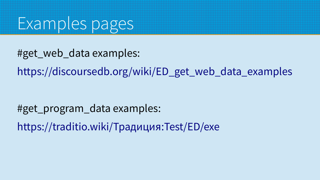

#get\_web\_data examples:

[https://discoursedb.org/wiki/ED\\_get\\_web\\_data\\_examples](https://discoursedb.org/wiki/ED_get_web_data_examples)

#get\_program\_data examples: [https://traditio.wiki/Традиция:Test/ED/exe](https://traditio.wiki/%D0%A2%D1%80%D0%B0%D0%B4%D0%B8%D1%86%D0%B8%D1%8F:Test/ED/exe)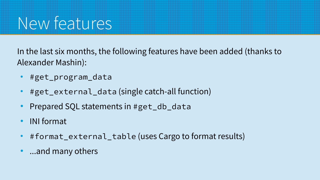# New features

In the last six months, the following features have been added (thanks to Alexander Mashin):

- #get\_program\_data
- $\#$ get\_external\_data (single catch-all function)
- Prepared SQL statements in #get\_db\_data
- INI format
- #format\_external\_table (uses Cargo to format results)
- ...and many others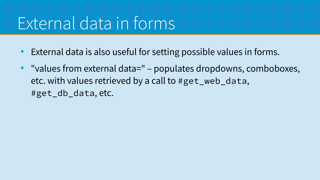### External data in forms

- External data is also useful for setting possible values in forms.
- "values from external data=" populates dropdowns, comboboxes, etc. with values retrieved by a call to #get\_web\_data, #get\_db\_data, etc.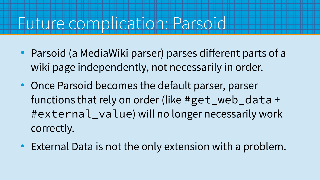#### Future complication: Parsoid

- Parsoid (a MediaWiki parser) parses different parts of a wiki page independently, not necessarily in order.
- Once Parsoid becomes the default parser, parser functions that rely on order (like #get\_web\_data + #external\_value) will no longer necessarily work correctly.
- External Data is not the only extension with a problem.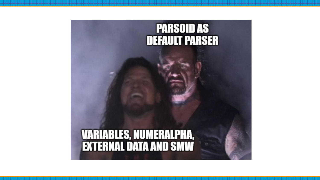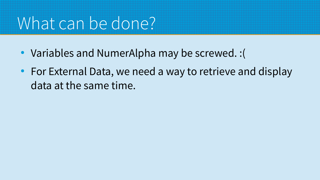### What can be done?

- Variables and NumerAlpha may be screwed. : (
- For External Data, we need a way to retrieve and display data at the same time.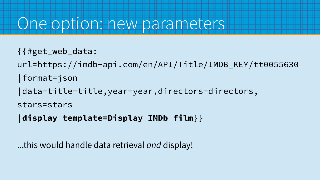#### One option: new parameters

- {{#get\_web\_data:
- url=https://imdb-api.com/en/API/Title/IMDB\_KEY/tt0055630
- |format=json
- |data=title=title,year=year,directors=directors,

```
stars=stars
```

```
|display template=Display IMDb film}}
```
...this would handle data retrieval *and* display!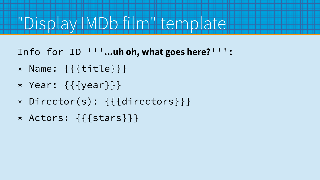# "Display IMDb film" template

Info for ID '''**...uh oh, what goes here?**''':

- \* Name: {{{title}}}
- \* Year: {{{year}}}
- \* Director(s): {{{directors}}}
- \* Actors: {{{stars}}}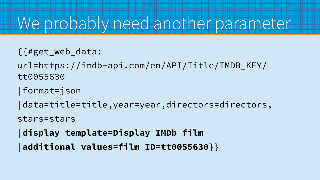#### We probably need another parameter

- {{#get\_web\_data:
- url=https://imdb-api.com/en/API/Title/IMDB\_KEY/ tt0055630
- |format=json
- |data=title=title,year=year,directors=directors,
- stars=stars
- |**display template=Display IMDb film**
- |**additional values=film ID=tt0055630**}}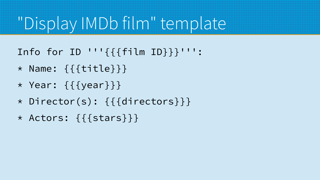# "Display IMDb film" template

- Info for ID '''{{{film ID}}}''':
- \* Name: {{{title}}}
- \* Year: {{{year}}}
- \* Director(s): {{{directors}}}
- \* Actors: {{{stars}}}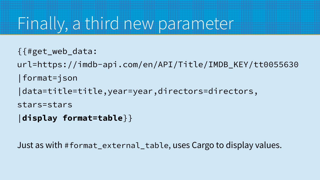#### Finally, a third new parameter

- {{#get\_web\_data:
- url=https://imdb-api.com/en/API/Title/IMDB\_KEY/tt0055630
- |format=json
- |data=title=title,year=year,directors=directors,

```
stars=stars
```

```
|display format=table}}
```
Just as with #format\_external\_table, uses Cargo to display values.